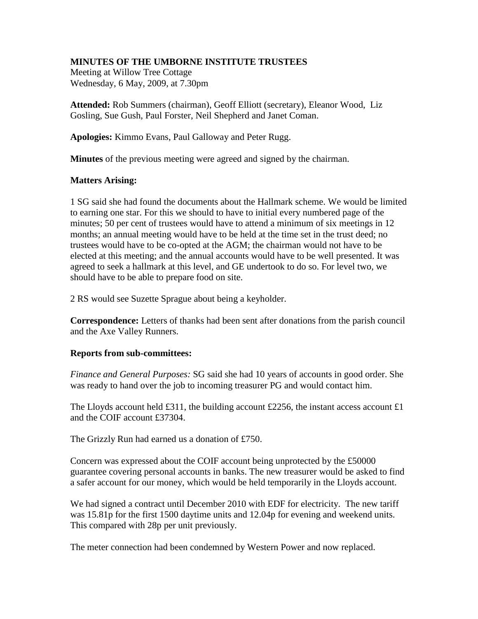## **MINUTES OF THE UMBORNE INSTITUTE TRUSTEES**

Meeting at Willow Tree Cottage Wednesday, 6 May, 2009, at 7.30pm

**Attended:** Rob Summers (chairman), Geoff Elliott (secretary), Eleanor Wood, Liz Gosling, Sue Gush, Paul Forster, Neil Shepherd and Janet Coman.

**Apologies:** Kimmo Evans, Paul Galloway and Peter Rugg.

**Minutes** of the previous meeting were agreed and signed by the chairman.

## **Matters Arising:**

1 SG said she had found the documents about the Hallmark scheme. We would be limited to earning one star. For this we should to have to initial every numbered page of the minutes; 50 per cent of trustees would have to attend a minimum of six meetings in 12 months; an annual meeting would have to be held at the time set in the trust deed; no trustees would have to be co-opted at the AGM; the chairman would not have to be elected at this meeting; and the annual accounts would have to be well presented. It was agreed to seek a hallmark at this level, and GE undertook to do so. For level two, we should have to be able to prepare food on site.

2 RS would see Suzette Sprague about being a keyholder.

**Correspondence:** Letters of thanks had been sent after donations from the parish council and the Axe Valley Runners.

## **Reports from sub-committees:**

*Finance and General Purposes:* SG said she had 10 years of accounts in good order. She was ready to hand over the job to incoming treasurer PG and would contact him.

The Lloyds account held  $\pounds 311$ , the building account £2256, the instant access account £1 and the COIF account £37304.

The Grizzly Run had earned us a donation of £750.

Concern was expressed about the COIF account being unprotected by the £50000 guarantee covering personal accounts in banks. The new treasurer would be asked to find a safer account for our money, which would be held temporarily in the Lloyds account.

We had signed a contract until December 2010 with EDF for electricity. The new tariff was 15.81p for the first 1500 daytime units and 12.04p for evening and weekend units. This compared with 28p per unit previously.

The meter connection had been condemned by Western Power and now replaced.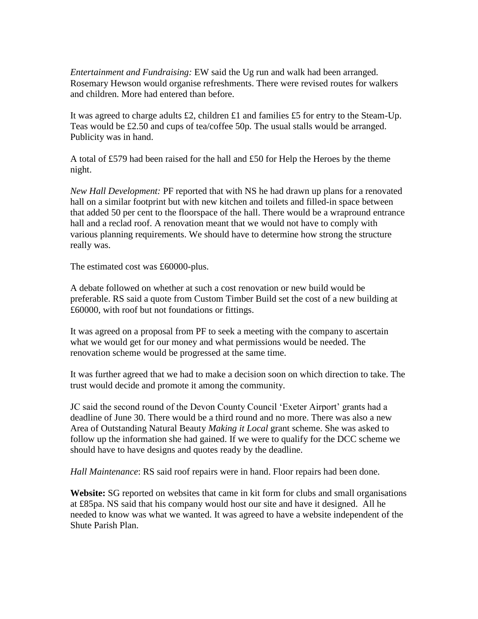*Entertainment and Fundraising:* EW said the Ug run and walk had been arranged. Rosemary Hewson would organise refreshments. There were revised routes for walkers and children. More had entered than before.

It was agreed to charge adults £2, children £1 and families £5 for entry to the Steam-Up. Teas would be £2.50 and cups of tea/coffee 50p. The usual stalls would be arranged. Publicity was in hand.

A total of £579 had been raised for the hall and £50 for Help the Heroes by the theme night.

*New Hall Development:* PF reported that with NS he had drawn up plans for a renovated hall on a similar footprint but with new kitchen and toilets and filled-in space between that added 50 per cent to the floorspace of the hall. There would be a wrapround entrance hall and a reclad roof. A renovation meant that we would not have to comply with various planning requirements. We should have to determine how strong the structure really was.

The estimated cost was £60000-plus.

A debate followed on whether at such a cost renovation or new build would be preferable. RS said a quote from Custom Timber Build set the cost of a new building at £60000, with roof but not foundations or fittings.

It was agreed on a proposal from PF to seek a meeting with the company to ascertain what we would get for our money and what permissions would be needed. The renovation scheme would be progressed at the same time.

It was further agreed that we had to make a decision soon on which direction to take. The trust would decide and promote it among the community.

JC said the second round of the Devon County Council 'Exeter Airport' grants had a deadline of June 30. There would be a third round and no more. There was also a new Area of Outstanding Natural Beauty *Making it Local* grant scheme. She was asked to follow up the information she had gained. If we were to qualify for the DCC scheme we should have to have designs and quotes ready by the deadline.

*Hall Maintenance*: RS said roof repairs were in hand. Floor repairs had been done.

**Website:** SG reported on websites that came in kit form for clubs and small organisations at £85pa. NS said that his company would host our site and have it designed. All he needed to know was what we wanted. It was agreed to have a website independent of the Shute Parish Plan.